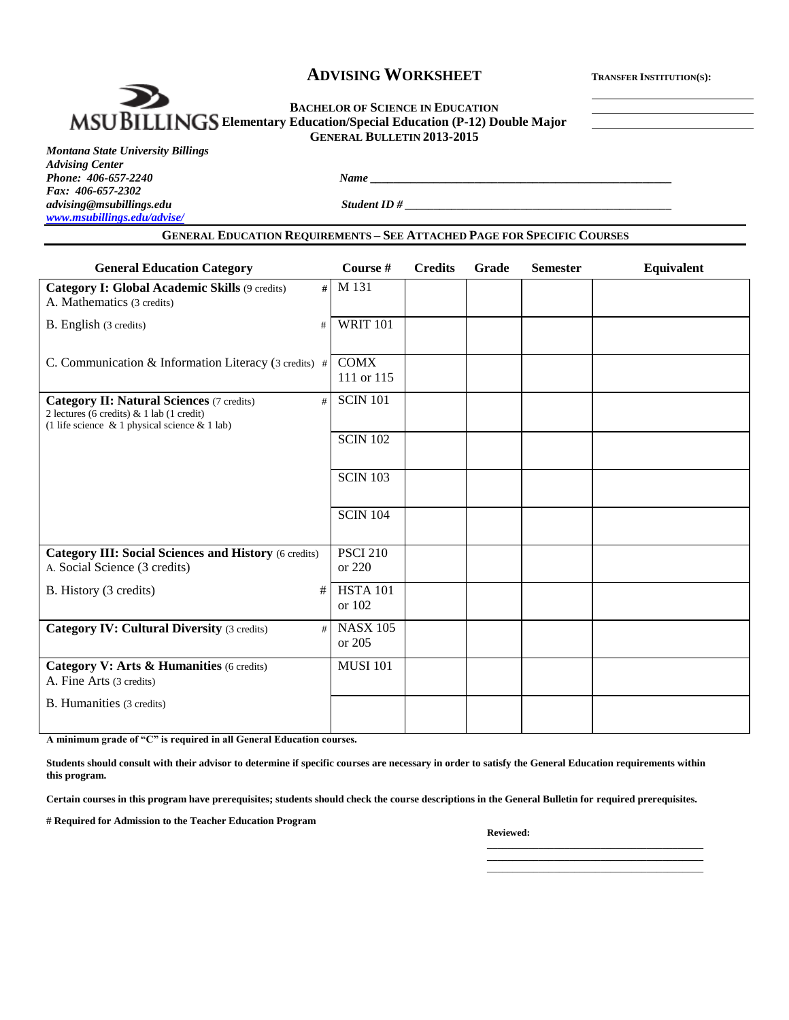## **ADVISING WORKSHEET <sup>T</sup>RANSFER INSTITUTION(S):**

#### **BACHELOR OF SCIENCE IN EDUCATION EXECUTE IN EXECUTION OF SCIENCE IN EDUCATION GENERAL BULLETIN 2013-2015**

*Montana State University Billings Advising Center Fax: 406-657-2302 [www.msubillings.edu/advise/](http://www.msubillings.edu/advise/)*

*Phone: 406-657-2240 Name \_\_\_\_\_\_\_\_\_\_\_\_\_\_\_\_\_\_\_\_\_\_\_\_\_\_\_\_\_\_\_\_\_\_\_\_\_\_\_\_\_\_\_\_\_\_\_\_\_\_\_\_*

*advising@msubillings.edu Student ID # \_\_\_\_\_\_\_\_\_\_\_\_\_\_\_\_\_\_\_\_\_\_\_\_\_\_\_\_\_\_\_\_\_\_\_\_\_\_\_\_\_\_\_\_\_\_*

#### **GENERAL EDUCATION REQUIREMENTS – SEE ATTACHED PAGE FOR SPECIFIC COURSES**

| <b>General Education Category</b>                                                                                                                     | Course #                  | <b>Credits</b> | Grade | <b>Semester</b> | Equivalent |
|-------------------------------------------------------------------------------------------------------------------------------------------------------|---------------------------|----------------|-------|-----------------|------------|
| Category I: Global Academic Skills (9 credits)<br>#<br>A. Mathematics (3 credits)                                                                     | M 131                     |                |       |                 |            |
| B. English (3 credits)<br>#                                                                                                                           | <b>WRIT 101</b>           |                |       |                 |            |
| C. Communication & Information Literacy (3 credits) #                                                                                                 | <b>COMX</b><br>111 or 115 |                |       |                 |            |
| <b>Category II: Natural Sciences (7 credits)</b><br>#<br>2 lectures (6 credits) $& 1$ lab (1 credit)<br>(1 life science & 1 physical science & 1 lab) | <b>SCIN 101</b>           |                |       |                 |            |
|                                                                                                                                                       | <b>SCIN 102</b>           |                |       |                 |            |
|                                                                                                                                                       | <b>SCIN 103</b>           |                |       |                 |            |
|                                                                                                                                                       | <b>SCIN 104</b>           |                |       |                 |            |
| <b>Category III: Social Sciences and History (6 credits)</b><br>A. Social Science (3 credits)                                                         | <b>PSCI 210</b><br>or 220 |                |       |                 |            |
| B. History (3 credits)<br>#                                                                                                                           | <b>HSTA 101</b><br>or 102 |                |       |                 |            |
| <b>Category IV: Cultural Diversity (3 credits)</b><br>#                                                                                               | <b>NASX 105</b><br>or 205 |                |       |                 |            |
| Category V: Arts & Humanities (6 credits)<br>A. Fine Arts (3 credits)                                                                                 | <b>MUSI 101</b>           |                |       |                 |            |
| B. Humanities (3 credits)                                                                                                                             |                           |                |       |                 |            |

**A minimum grade of "C" is required in all General Education courses.** 

**Students should consult with their advisor to determine if specific courses are necessary in order to satisfy the General Education requirements within this program.**

**Certain courses in this program have prerequisites; students should check the course descriptions in the General Bulletin for required prerequisites.**

**# Required for Admission to the Teacher Education Program**

#### **Reviewed:**

**\_\_\_\_\_\_\_\_\_\_\_\_\_\_\_\_\_\_\_\_\_\_\_\_\_\_\_\_\_\_\_\_\_\_\_\_\_\_\_\_\_\_** \_\_\_\_\_\_\_\_\_\_\_\_\_\_\_\_\_\_\_\_\_\_\_\_\_\_\_\_\_\_\_\_\_\_\_\_\_\_\_\_\_\_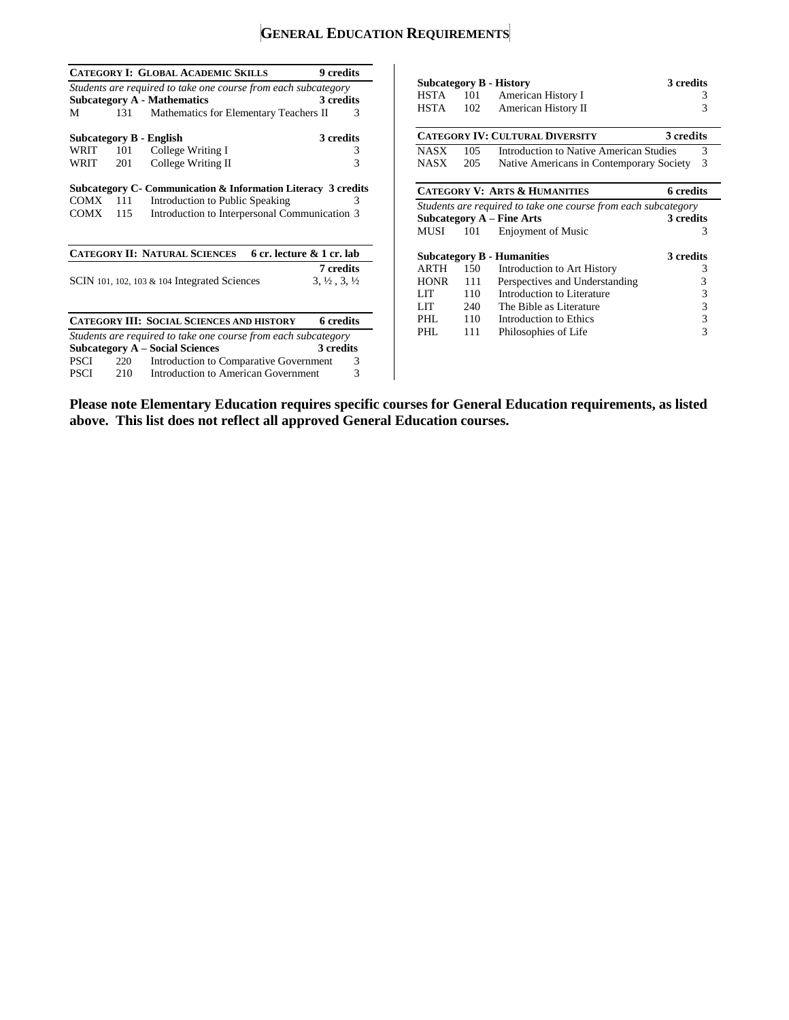# **GENERAL EDUCATION REQUIREMENTS**

|             |     | <b>CATEGORY I: GLOBAL ACADEMIC SKILLS</b>                      | 9 credits                        |
|-------------|-----|----------------------------------------------------------------|----------------------------------|
|             |     | Students are required to take one course from each subcategory |                                  |
|             |     | <b>Subcategory A - Mathematics</b>                             | 3 credits                        |
| М           | 131 | Mathematics for Elementary Teachers II                         | 3                                |
|             |     | Subcategory B - English                                        | 3 credits                        |
| WRIT        | 101 | College Writing I                                              | 3                                |
| WRIT        | 201 | College Writing II                                             | 3                                |
|             |     | Subcategory C- Communication & Information Literacy 3 credits  |                                  |
|             |     |                                                                |                                  |
| COMX        | 111 | Introduction to Public Speaking                                | 3                                |
| COMX        | 115 | Introduction to Interpersonal Communication 3                  |                                  |
|             |     | <b>CATEGORY II: NATURAL SCIENCES</b>                           | 6 cr. lecture & 1 cr. lab        |
|             |     |                                                                | 7 credits                        |
|             |     | SCIN 101, 102, 103 $\&$ 104 Integrated Sciences                | $3, \frac{1}{2}, 3, \frac{1}{2}$ |
|             |     | <b>CATEGORY III: SOCIAL SCIENCES AND HISTORY</b>               | 6 credits                        |
|             |     | Students are required to take one course from each subcategory |                                  |
|             |     | <b>Subcategory A – Social Sciences</b>                         | 3 credits                        |
| <b>PSCI</b> | 220 | Introduction to Comparative Government                         | 3                                |

| <b>Subcategory B - History</b>                 |     |                                                                | 3 credits        |  |  |
|------------------------------------------------|-----|----------------------------------------------------------------|------------------|--|--|
| HSTA                                           | 101 | American History I                                             | 3                |  |  |
| HSTA                                           | 102 | American History II                                            | 3                |  |  |
|                                                |     | <b>CATEGORY IV: CULTURAL DIVERSITY</b>                         | 3 credits        |  |  |
| <b>NASX</b>                                    | 105 | Introduction to Native American Studies                        | 3                |  |  |
| NASX                                           | 205 | Native Americans in Contemporary Society                       | 3                |  |  |
|                                                |     |                                                                |                  |  |  |
|                                                |     | <b>CATEGORY V: ARTS &amp; HUMANITIES</b>                       | <b>6</b> credits |  |  |
|                                                |     | Students are required to take one course from each subcategory |                  |  |  |
|                                                |     | Subcategory $A$ – Fine Arts                                    | 3 credits        |  |  |
| MUSI                                           | 101 | Enjoyment of Music                                             | 3                |  |  |
| 3 credits<br><b>Subcategory B - Humanities</b> |     |                                                                |                  |  |  |
| ARTH                                           | 150 | Introduction to Art History                                    | 3                |  |  |
| <b>HONR</b>                                    | 111 | Perspectives and Understanding                                 | 3                |  |  |
| LIT                                            | 110 | Introduction to Literature                                     | 3                |  |  |
| LIT                                            | 240 | The Bible as Literature                                        | 3                |  |  |
| PHI.                                           | 110 | Introduction to Ethics                                         | 3                |  |  |
| PHI.                                           | 111 | Philosophies of Life                                           | 3                |  |  |

**Please note Elementary Education requires specific courses for General Education requirements, as listed above. This list does not reflect all approved General Education courses.**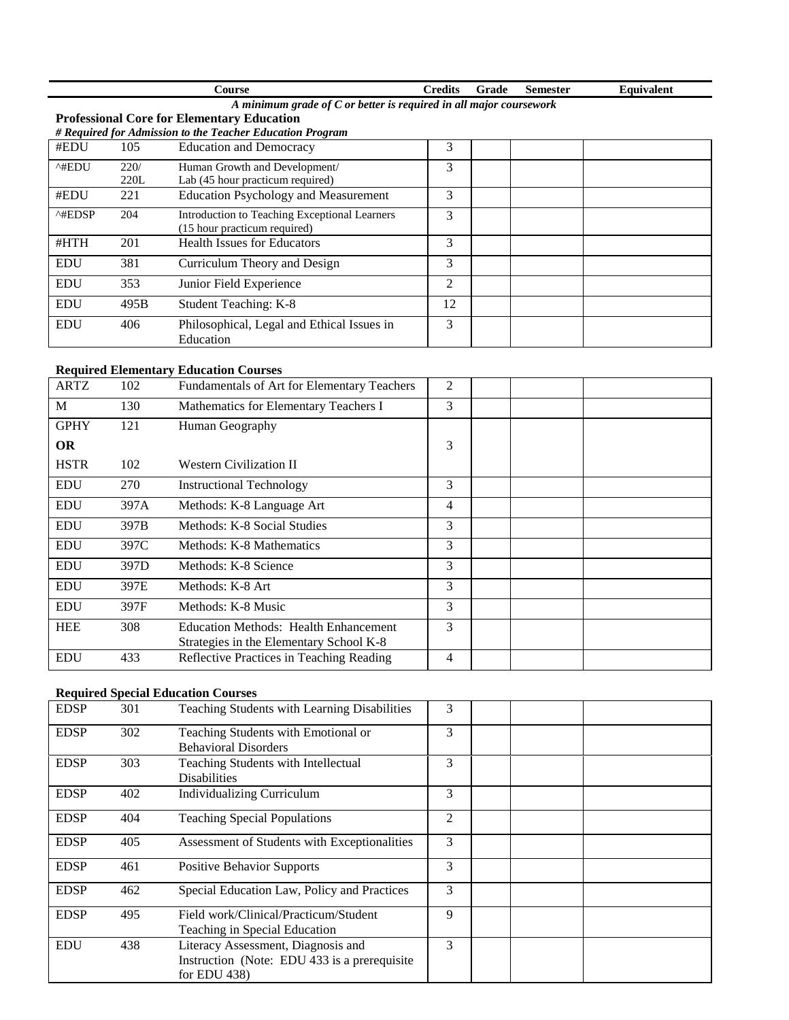| `ourse           | ∠redits                                                    | rade | Semester | Equivalent |
|------------------|------------------------------------------------------------|------|----------|------------|
| minimum grade of | $\mathcal C$ or better is required in all major coursework |      |          |            |

#### **Professional Core for Elementary Education**

*# Required for Admission to the Teacher Education Program*

| #EDU                    | 105          | <b>Education and Democracy</b>                                                | 3                           |  |  |
|-------------------------|--------------|-------------------------------------------------------------------------------|-----------------------------|--|--|
| $^{\wedge\#EDU}$        | 220/<br>220L | Human Growth and Development/<br>Lab (45 hour practicum required)             | 3                           |  |  |
| #EDU                    | 221          | <b>Education Psychology and Measurement</b>                                   | 3                           |  |  |
| $^{\wedge\text{HEDSP}}$ | 204          | Introduction to Teaching Exceptional Learners<br>(15 hour practicum required) | 3                           |  |  |
| #HTH                    | 201          | <b>Health Issues for Educators</b>                                            | 3                           |  |  |
| <b>EDU</b>              | 381          | Curriculum Theory and Design                                                  | 3                           |  |  |
| <b>EDU</b>              | 353          | Junior Field Experience                                                       | $\mathcal{D}_{\mathcal{L}}$ |  |  |
| <b>EDU</b>              | 495B         | Student Teaching: K-8                                                         | 12                          |  |  |
| <b>EDU</b>              | 406          | Philosophical, Legal and Ethical Issues in<br>Education                       | 3                           |  |  |

#### **Required Elementary Education Courses**

| <b>ARTZ</b> | 102  | Fundamentals of Art for Elementary Teachers  | 2 |  |  |
|-------------|------|----------------------------------------------|---|--|--|
| M           | 130  | Mathematics for Elementary Teachers I        | 3 |  |  |
| <b>GPHY</b> | 121  | Human Geography                              |   |  |  |
| OR.         |      |                                              | 3 |  |  |
| <b>HSTR</b> | 102  | <b>Western Civilization II</b>               |   |  |  |
| <b>EDU</b>  | 270  | <b>Instructional Technology</b>              | 3 |  |  |
| <b>EDU</b>  | 397A | Methods: K-8 Language Art                    | 4 |  |  |
| <b>EDU</b>  | 397B | Methods: K-8 Social Studies                  | 3 |  |  |
| <b>EDU</b>  | 397C | Methods: K-8 Mathematics                     | 3 |  |  |
| <b>EDU</b>  | 397D | Methods: K-8 Science                         | 3 |  |  |
| <b>EDU</b>  | 397E | Methods: K-8 Art                             | 3 |  |  |
| <b>EDU</b>  | 397F | Methods: K-8 Music                           | 3 |  |  |
| <b>HEE</b>  | 308  | <b>Education Methods: Health Enhancement</b> | 3 |  |  |
|             |      | Strategies in the Elementary School K-8      |   |  |  |
| <b>EDU</b>  | 433  | Reflective Practices in Teaching Reading     | 4 |  |  |

### **Required Special Education Courses**

| <b>EDSP</b> | 301 | Teaching Students with Learning Disabilities                                                           | 3              |  |
|-------------|-----|--------------------------------------------------------------------------------------------------------|----------------|--|
| <b>EDSP</b> | 302 | Teaching Students with Emotional or<br><b>Behavioral Disorders</b>                                     | 3              |  |
| <b>EDSP</b> | 303 | Teaching Students with Intellectual<br><b>Disabilities</b>                                             | 3              |  |
| <b>EDSP</b> | 402 | <b>Individualizing Curriculum</b>                                                                      | 3              |  |
| <b>EDSP</b> | 404 | <b>Teaching Special Populations</b>                                                                    | $\overline{c}$ |  |
| <b>EDSP</b> | 405 | Assessment of Students with Exceptionalities                                                           | 3              |  |
| <b>EDSP</b> | 461 | <b>Positive Behavior Supports</b>                                                                      | 3              |  |
| <b>EDSP</b> | 462 | Special Education Law, Policy and Practices                                                            | 3              |  |
| <b>EDSP</b> | 495 | Field work/Clinical/Practicum/Student<br>Teaching in Special Education                                 | 9              |  |
| <b>EDU</b>  | 438 | Literacy Assessment, Diagnosis and<br>Instruction (Note: EDU 433 is a prerequisite)<br>for EDU $438$ ) | 3              |  |